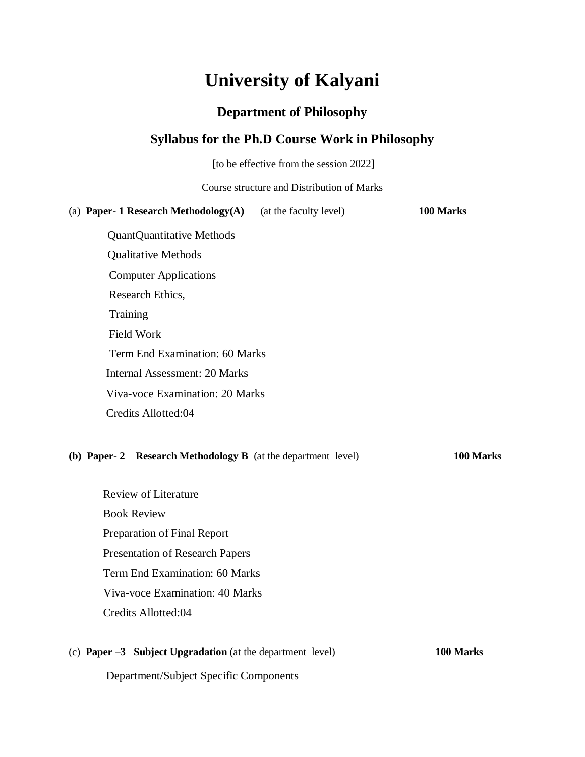# **University of Kalyani**

# **Department of Philosophy**

# **Syllabus for the Ph.D Course Work in Philosophy**

[to be effective from the session 2022]

| Course structure and Distribution of Marks |                        |           |
|--------------------------------------------|------------------------|-----------|
|                                            |                        | 100 Marks |
| (a) Paper- 1 Research Methodology(A)       | (at the faculty level) |           |
| <b>QuantQuantitative Methods</b>           |                        |           |
| <b>Qualitative Methods</b>                 |                        |           |
| <b>Computer Applications</b>               |                        |           |
| Research Ethics,                           |                        |           |
| <b>Training</b>                            |                        |           |
| <b>Field Work</b>                          |                        |           |
| Term End Examination: 60 Marks             |                        |           |
| Internal Assessment: 20 Marks              |                        |           |
| Viva-voce Examination: 20 Marks            |                        |           |

#### **(b) Paper- 2 Research Methodology B** (at the department level) **100 Marks**

Review of Literature Book Review Preparation of Final Report Presentation of Research Papers Term End Examination: 60 Marks Viva-voce Examination: 40 Marks Credits Allotted:04

Credits Allotted:04

#### (c) **Paper –3 Subject Upgradation** (at the department level) **100 Marks**

Department/Subject Specific Components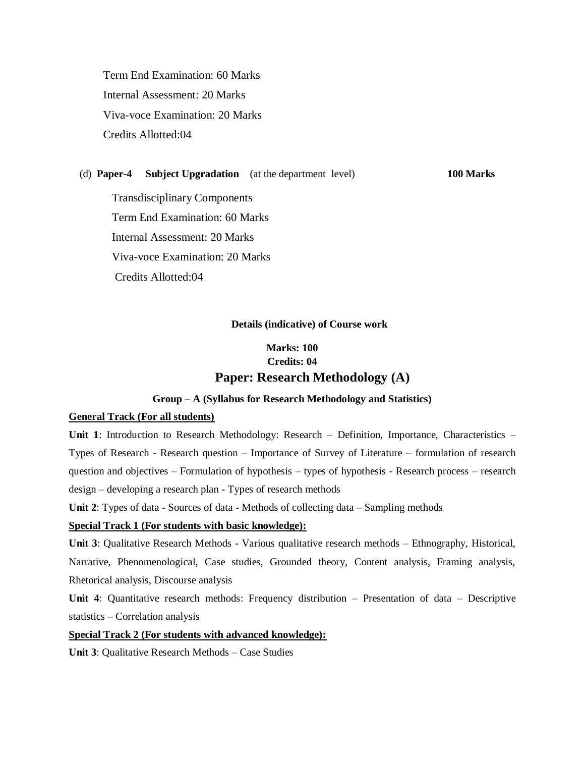Term End Examination: 60 Marks Internal Assessment: 20 Marks Viva-voce Examination: 20 Marks Credits Allotted:04

#### (d) **Paper-4 Subject Upgradation** (at the department level) **100 Marks**

 Transdisciplinary Components Term End Examination: 60 Marks Internal Assessment: 20 Marks Viva-voce Examination: 20 Marks Credits Allotted:04

#### **Details (indicative) of Course work**

# **Marks: 100 Credits: 04 Paper: Research Methodology (A)**

#### **Group – A (Syllabus for Research Methodology and Statistics)**

#### **General Track (For all students)**

**Unit 1**: Introduction to Research Methodology: Research – Definition, Importance, Characteristics – Types of Research - Research question – Importance of Survey of Literature – formulation of research question and objectives – Formulation of hypothesis – types of hypothesis - Research process – research design – developing a research plan - Types of research methods

**Unit 2**: Types of data - Sources of data - Methods of collecting data – Sampling methods

#### **Special Track 1 (For students with basic knowledge):**

**Unit 3**: Qualitative Research Methods - Various qualitative research methods – Ethnography, Historical, Narrative, Phenomenological, Case studies, Grounded theory, Content analysis, Framing analysis, Rhetorical analysis, Discourse analysis

**Unit 4:** Quantitative research methods: Frequency distribution – Presentation of data – Descriptive statistics – Correlation analysis

#### **Special Track 2 (For students with advanced knowledge):**

**Unit 3**: Qualitative Research Methods – Case Studies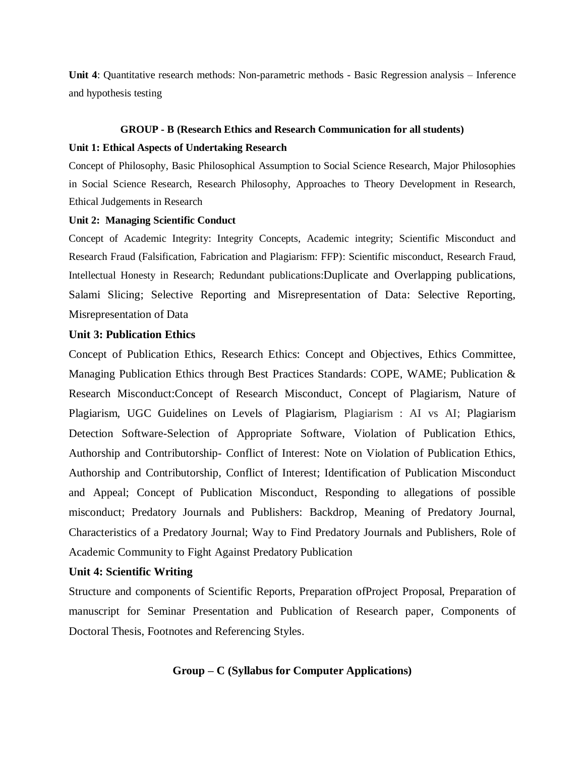**Unit 4**: Quantitative research methods: Non-parametric methods - Basic Regression analysis – Inference and hypothesis testing

#### **GROUP - B (Research Ethics and Research Communication for all students)**

#### **Unit 1: Ethical Aspects of Undertaking Research**

Concept of Philosophy, Basic Philosophical Assumption to Social Science Research, Major Philosophies in Social Science Research, Research Philosophy, Approaches to Theory Development in Research, Ethical Judgements in Research

#### **Unit 2: Managing Scientific Conduct**

Concept of Academic Integrity: Integrity Concepts, Academic integrity; Scientific Misconduct and Research Fraud (Falsification, Fabrication and Plagiarism: FFP): Scientific misconduct, Research Fraud, Intellectual Honesty in Research; Redundant publications:Duplicate and Overlapping publications, Salami Slicing; Selective Reporting and Misrepresentation of Data: Selective Reporting, Misrepresentation of Data

#### **Unit 3: Publication Ethics**

Concept of Publication Ethics, Research Ethics: Concept and Objectives, Ethics Committee, Managing Publication Ethics through Best Practices Standards: COPE, WAME; Publication & Research Misconduct:Concept of Research Misconduct, Concept of Plagiarism, Nature of Plagiarism, UGC Guidelines on Levels of Plagiarism, Plagiarism : AI vs AI; Plagiarism Detection Software-Selection of Appropriate Software, Violation of Publication Ethics, Authorship and Contributorship- Conflict of Interest: Note on Violation of Publication Ethics, Authorship and Contributorship, Conflict of Interest; Identification of Publication Misconduct and Appeal; Concept of Publication Misconduct, Responding to allegations of possible misconduct; Predatory Journals and Publishers: Backdrop, Meaning of Predatory Journal, Characteristics of a Predatory Journal; Way to Find Predatory Journals and Publishers, Role of Academic Community to Fight Against Predatory Publication

#### **Unit 4: Scientific Writing**

Structure and components of Scientific Reports, Preparation ofProject Proposal, Preparation of manuscript for Seminar Presentation and Publication of Research paper, Components of Doctoral Thesis, Footnotes and Referencing Styles.

#### **Group – C (Syllabus for Computer Applications)**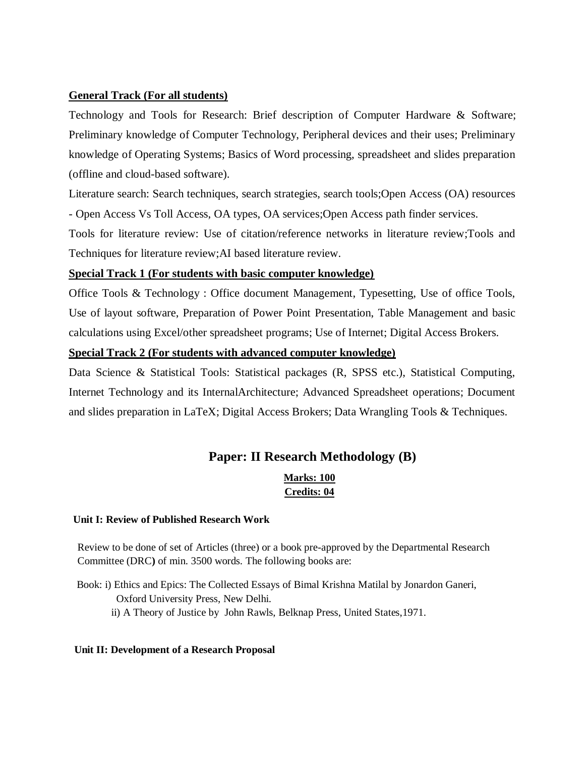# **General Track (For all students)**

Technology and Tools for Research: Brief description of Computer Hardware & Software; Preliminary knowledge of Computer Technology, Peripheral devices and their uses; Preliminary knowledge of Operating Systems; Basics of Word processing, spreadsheet and slides preparation (offline and cloud-based software).

Literature search: Search techniques, search strategies, search tools;Open Access (OA) resources - Open Access Vs Toll Access, OA types, OA services;Open Access path finder services.

Tools for literature review: Use of citation/reference networks in literature review;Tools and Techniques for literature review;AI based literature review.

# **Special Track 1 (For students with basic computer knowledge)**

Office Tools & Technology : Office document Management, Typesetting, Use of office Tools, Use of layout software, Preparation of Power Point Presentation, Table Management and basic calculations using Excel/other spreadsheet programs; Use of Internet; Digital Access Brokers.

#### **Special Track 2 (For students with advanced computer knowledge)**

Data Science & Statistical Tools: Statistical packages (R, SPSS etc.), Statistical Computing, Internet Technology and its InternalArchitecture; Advanced Spreadsheet operations; Document and slides preparation in LaTeX; Digital Access Brokers; Data Wrangling Tools & Techniques.

# **Paper: II Research Methodology (B)**

# **Marks: 100 Credits: 04**

#### **Unit I: Review of Published Research Work**

Review to be done of set of Articles (three) or a book pre-approved by the Departmental Research Committee (DRC**)** of min. 3500 words. The following books are:

 Book: i) Ethics and Epics: The Collected Essays of Bimal Krishna Matilal by Jonardon Ganeri, Oxford University Press, New Delhi. ii) A Theory of Justice by John Rawls, Belknap Press, United States,1971.

#### **Unit II: Development of a Research Proposal**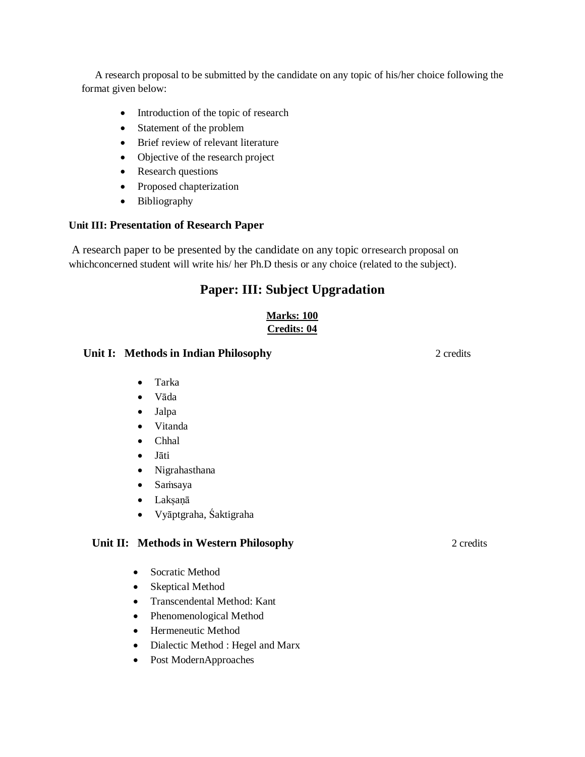A research proposal to be submitted by the candidate on any topic of his/her choice following the format given below:

- Introduction of the topic of research
- Statement of the problem
- Brief review of relevant literature
- Objective of the research project
- Research questions
- Proposed chapterization
- Bibliography

#### **Unit III: Presentation of Research Paper**

A research paper to be presented by the candidate on any topic orresearch proposal on which concerned student will write his/ her Ph.D thesis or any choice (related to the subject).

# **Paper: III: Subject Upgradation**

# **Marks: 100 Credits: 04**

#### *Unit* **I: Methods in Indian Philosophy 2 credits 2 credits 2 credits 2 credits**

- Tarka
- Vāda
- Jalpa
- Vitanda
- Chhal
- Jāti
- Nigrahasthana
- Saṁsaya
- Lakșaṇā
- Vyāptgraha, Śaktigraha

# **Unit II: Methods in Western Philosophy** 2 credits

- Socratic Method
- Skeptical Method
- Transcendental Method: Kant
- Phenomenological Method
- Hermeneutic Method
- Dialectic Method : Hegel and Marx
- Post ModernApproaches